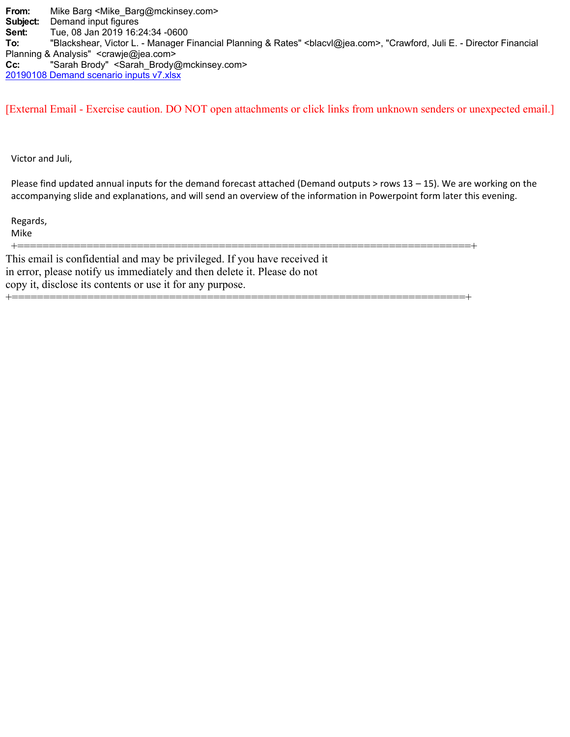**From:** Mike Barg <Mike\_Barg@mckinsey.com> **Subject:** Demand input figures **Sent:** Tue, 08 Jan 2019 16:24:34 -0600 To: "Blackshear, Victor L. - Manager Financial Planning & Rates" <br >blacvl@jea.com>, "Crawford, Juli E. - Director Financial Planning & Analysis" <crawje@jea.com> **Cc:** "Sarah Brody" <Sarah\_Brody@mckinsey.com> 20190108 Demand scenario inputs v7.xlsx

[External Email - Exercise caution. DO NOT open attachments or click links from unknown senders or unexpected email.]

Victor and Juli,

Please find updated annual inputs for the demand forecast attached (Demand outputs  $>$  rows 13 – 15). We are working on the accompanying slide and explanations, and will send an overview of the information in Powerpoint form later this evening.

+========================================================================+

Regards,

Mike

+========================================================================+ This email is confidential and may be privileged. If you have received it in error, please notify us immediately and then delete it. Please do not copy it, disclose its contents or use it for any purpose.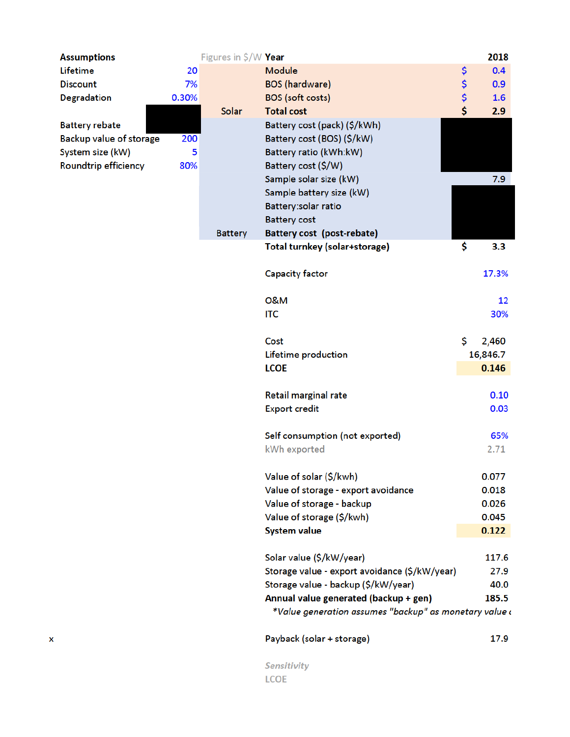| <b>Assumptions</b>          |       | Figures in \$/W Year |                                                        | 2018        |
|-----------------------------|-------|----------------------|--------------------------------------------------------|-------------|
| Lifetime                    | 20    |                      | <b>Module</b>                                          | \$<br>0.4   |
| <b>Discount</b>             | 7%    |                      | <b>BOS</b> (hardware)                                  | \$<br>0.9   |
| <b>Degradation</b>          | 0.30% |                      | <b>BOS</b> (soft costs)                                | \$<br>1.6   |
|                             |       | Solar                | <b>Total cost</b>                                      | \$<br>2.9   |
| <b>Battery rebate</b>       |       |                      | Battery cost (pack) (\$/kWh)                           |             |
| Backup value of storage     | 200   |                      | Battery cost (BOS) (\$/kW)                             |             |
| System size (kW)            | 5     |                      | Battery ratio (kWh:kW)                                 |             |
| <b>Roundtrip efficiency</b> | 80%   |                      | Battery cost (\$/W)                                    |             |
|                             |       |                      | Sample solar size (kW)                                 | 7.9         |
|                             |       |                      | Sample battery size (kW)                               |             |
|                             |       |                      | Battery:solar ratio                                    |             |
|                             |       |                      | <b>Battery cost</b>                                    |             |
|                             |       | <b>Battery</b>       | Battery cost (post-rebate)                             |             |
|                             |       |                      | Total turnkey (solar+storage)                          | \$<br>3.3   |
|                             |       |                      | <b>Capacity factor</b>                                 | 17.3%       |
|                             |       |                      | <b>0&amp;M</b>                                         | 12          |
|                             |       |                      | <b>ITC</b>                                             | 30%         |
|                             |       |                      | Cost                                                   | \$<br>2,460 |
|                             |       |                      | Lifetime production                                    | 16,846.7    |
|                             |       |                      | <b>LCOE</b>                                            | 0.146       |
|                             |       |                      | Retail marginal rate                                   | 0.10        |
|                             |       |                      | <b>Export credit</b>                                   | 0.03        |
|                             |       |                      | Self consumption (not exported)                        | 65%         |
|                             |       |                      | kWh exported                                           | 2.71        |
|                             |       |                      | Value of solar (\$/kwh)                                | 0.077       |
|                             |       |                      | Value of storage - export avoidance                    | 0.018       |
|                             |       |                      | Value of storage - backup                              | 0.026       |
|                             |       |                      | Value of storage (\$/kwh)                              | 0.045       |
|                             |       |                      | <b>System value</b>                                    | 0.122       |
|                             |       |                      | Solar value (\$/kW/year)                               | 117.6       |
|                             |       |                      | Storage value - export avoidance (\$/kW/year)          | 27.9        |
|                             |       |                      | Storage value - backup (\$/kW/year)                    | 40.0        |
|                             |       |                      | Annual value generated (backup + gen)                  | 185.5       |
|                             |       |                      | *Value generation assumes "backup" as monetary value a |             |
|                             |       |                      | Payback (solar + storage)                              | 17.9        |

Sensitivity LCOE

 $\pmb{\mathsf{X}}$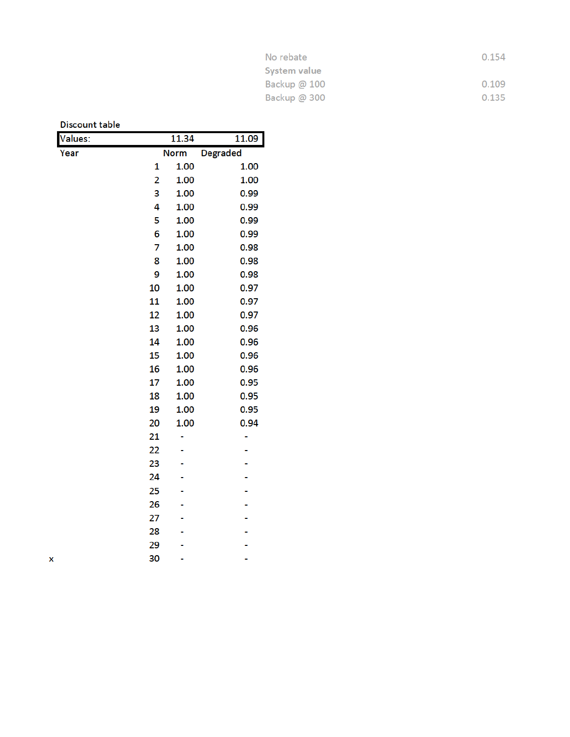| No rebate           | 0.154 |
|---------------------|-------|
| System value        |       |
| Backup $\omega$ 100 | 0.109 |
| Backup $@300$       | 0.135 |

| <b>Discount table</b> |    |             |                 |
|-----------------------|----|-------------|-----------------|
| Jalues:               |    | 11.34       | 11.09           |
| Year                  |    | <b>Norm</b> | <b>Degraded</b> |
|                       | 1  | 1.00        | 1.00            |
|                       | 2  | 1.00        | 1.00            |
|                       | 3  | 1.00        | 0.99            |
|                       | 4  | 1.00        | 0.99            |
|                       | 5  | 1.00        | 0.99            |
|                       | 6  | 1.00        | 0.99            |
|                       | 7  | 1.00        | 0.98            |
|                       | 8  | 1.00        | 0.98            |
|                       | 9  | 1.00        | 0.98            |
|                       | 10 | 1.00        | 0.97            |
|                       | 11 | 1.00        | 0.97            |
|                       | 12 | 1.00        | 0.97            |
|                       | 13 | 1.00        | 0.96            |
|                       | 14 | 1.00        | 0.96            |
|                       | 15 | 1.00        | 0.96            |
|                       | 16 | 1.00        | 0.96            |
|                       | 17 | 1.00        | 0.95            |
|                       | 18 | 1.00        | 0.95            |
|                       | 19 | 1.00        | 0.95            |
|                       | 20 | 1.00        | 0.94            |
|                       | 21 |             |                 |
|                       | 22 |             |                 |
|                       | 23 |             |                 |
|                       | 24 |             |                 |
|                       | 25 |             |                 |
|                       | 26 |             |                 |
|                       | 27 |             |                 |
|                       | 28 |             |                 |
|                       | 29 |             |                 |
|                       | 30 |             |                 |

 $\pmb{\mathsf{X}}$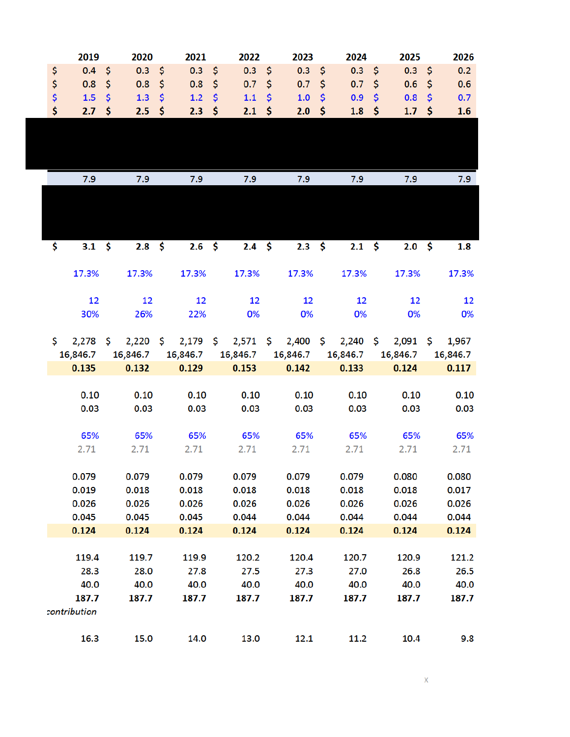|     | 2019           | 2020           |     | 2021             |                     | 2022                         |               | 2023           |                     | 2024           | 2025              |               | 2026     |
|-----|----------------|----------------|-----|------------------|---------------------|------------------------------|---------------|----------------|---------------------|----------------|-------------------|---------------|----------|
| \$  | $0.4 \quad $5$ | $0.3 \quad $5$ |     | $0.3 \quad $$    |                     | $0.3 \quad $5$               |               | $0.3 \quad $5$ |                     | $0.3 \quad $5$ | 0.3 <sup>5</sup>  |               | 0.2      |
| \$  | 0.8            | \$<br>0.8      | \$  | 0.8              | $\ddot{\bm{\zeta}}$ | 0.7                          | \$            | 0.7            | \$                  | 0.7            | \$<br>0.6         | $\frac{1}{2}$ | 0.6      |
| \$  | 1.5            | \$<br>1.3      | \$  | 1.2              | $\hat{\mathsf{S}}$  | 1.1                          | $\frac{1}{2}$ | 1.0            | $\ddot{\bm{\zeta}}$ | 0.9            | \$<br>0.8         | $\mathsf{S}$  | 0.7      |
| \$  | 2.7            | \$<br>2.5      | -\$ | 2.3              | -\$                 | 2.1                          | \$            | 2.0            | \$                  | 1.8            | \$<br>$1.7 \pm 5$ |               | 1.6      |
|     |                |                |     |                  |                     |                              |               |                |                     |                |                   |               |          |
|     |                |                |     |                  |                     |                              |               |                |                     |                |                   |               |          |
|     |                |                |     |                  |                     |                              |               |                |                     |                |                   |               |          |
|     |                |                |     |                  |                     |                              |               |                |                     |                |                   |               |          |
|     | 7.9            | 7.9            |     | 7.9              |                     | 7.9                          |               | 7.9            |                     | 7.9            | 7.9               |               | 7.9      |
|     |                |                |     |                  |                     |                              |               |                |                     |                |                   |               |          |
|     |                |                |     |                  |                     |                              |               |                |                     |                |                   |               |          |
|     |                |                |     |                  |                     |                              |               |                |                     |                |                   |               |          |
| \$  | $3.1 \quad $5$ | $2.8 \quad$ \$ |     | 2.6 <sup>5</sup> |                     | $2.4 \quad $5$               |               | $2.3 \quad $5$ |                     | $2.1 \quad $5$ | $2.0\,$ \$        |               | 1.8      |
|     |                |                |     |                  |                     |                              |               |                |                     |                |                   |               |          |
|     | 17.3%          | 17.3%          |     | 17.3%            |                     | 17.3%                        |               | 17.3%          |                     | 17.3%          | 17.3%             |               | 17.3%    |
|     |                |                |     |                  |                     |                              |               |                |                     |                |                   |               |          |
|     | 12             | 12             |     | 12               |                     | 12                           |               | 12             |                     | 12             | 12                |               | 12       |
|     | 30%            | 26%            |     | 22%              |                     | 0%                           |               | 0%             |                     | 0%             | 0%                |               | 0%       |
|     |                |                |     |                  |                     |                              |               |                |                     |                |                   |               |          |
| \$. | $2,278$ \$     | $2,220$ \$     |     |                  |                     | $2,179 \quad $2,571 \quad $$ |               | $2,400$ \$     |                     | $2,240$ \$     | $2,091$ \$        |               | 1,967    |
|     | 16,846.7       | 16,846.7       |     | 16,846.7         |                     | 16,846.7                     |               | 16,846.7       |                     | 16,846.7       | 16,846.7          |               | 16,846.7 |
|     | 0.135          | 0.132          |     | 0.129            |                     | 0.153                        |               | 0.142          |                     | 0.133          | 0.124             |               | 0.117    |
|     | 0.10           | 0.10           |     | 0.10             |                     | 0.10                         |               | 0.10           |                     | 0.10           | 0.10              |               | 0.10     |
|     | 0.03           | 0.03           |     | 0.03             |                     | 0.03                         |               | 0.03           |                     | 0.03           | 0.03              |               | 0.03     |
|     |                |                |     |                  |                     |                              |               |                |                     |                |                   |               |          |
|     | 65%            | 65%            |     | 65%              |                     | 65%                          |               | 65%            |                     | 65%            | 65%               |               | 65%      |
|     | 2.71           | 2.71           |     | 2.71             |                     | 2.71                         |               | 2.71           |                     | 2.71           | 2.71              |               | 2.71     |
|     |                |                |     |                  |                     |                              |               |                |                     |                |                   |               |          |
|     | 0.079          | 0.079          |     | 0.079            |                     | 0.079                        |               | 0.079          |                     | 0.079          | 0.080             |               | 0.080    |
|     | 0.019          | 0.018          |     | 0.018            |                     | 0.018                        |               | 0.018          |                     | 0.018          | 0.018             |               | 0.017    |
|     | 0.026          | 0.026          |     | 0.026            |                     | 0.026                        |               | 0.026          |                     | 0.026          | 0.026             |               | 0.026    |
|     | 0.045          | 0.045          |     | 0.045            |                     | 0.044                        |               | 0.044          |                     | 0.044          | 0.044             |               | 0.044    |
|     | 0.124          | 0.124          |     | 0.124            |                     | 0.124                        |               | 0.124          |                     | 0.124          | 0.124             |               | 0.124    |
|     |                |                |     |                  |                     |                              |               |                |                     |                |                   |               |          |
|     | 119.4          | 119.7          |     | 119.9            |                     | 120.2                        |               | 120.4          |                     | 120.7          | 120.9             |               | 121.2    |
|     | 28.3           | 28.0           |     | 27.8             |                     | 27.5                         |               | 27.3           |                     | 27.0           | 26.8              |               | 26.5     |
|     | 40.0           | 40.0           |     | 40.0             |                     | 40.0                         |               | 40.0           |                     | 40.0           | 40.0              |               | 40.0     |
|     | 187.7          | 187.7          |     | 187.7            |                     | 187.7                        |               | 187.7          |                     | 187.7          | 187.7             |               | 187.7    |
|     | contribution   |                |     |                  |                     |                              |               |                |                     |                |                   |               |          |
|     | 16.3           | 15.0           |     | 14.0             |                     |                              |               |                |                     |                |                   |               | 9.8      |
|     |                |                |     |                  |                     | 13.0                         |               | 12.1           |                     | 11.2           | 10.4              |               |          |

 $\mathbf{x}$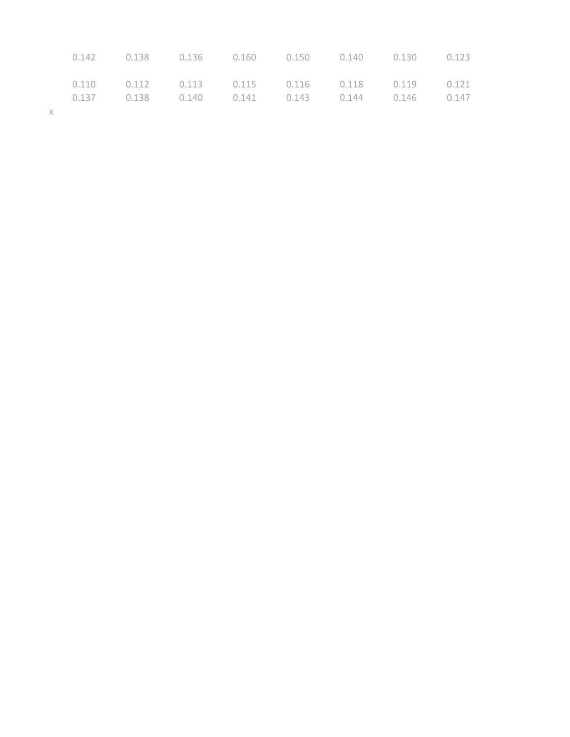|          |  |  |  | $0.142$ $0.138$ $0.136$ $0.160$ $0.150$ $0.140$ $0.130$ $0.123$ |  |
|----------|--|--|--|-----------------------------------------------------------------|--|
|          |  |  |  | $0.110$ $0.112$ $0.113$ $0.115$ $0.116$ $0.118$ $0.119$ $0.121$ |  |
|          |  |  |  | $0.137$ $0.138$ $0.140$ $0.141$ $0.143$ $0.144$ $0.146$ $0.147$ |  |
| $\times$ |  |  |  |                                                                 |  |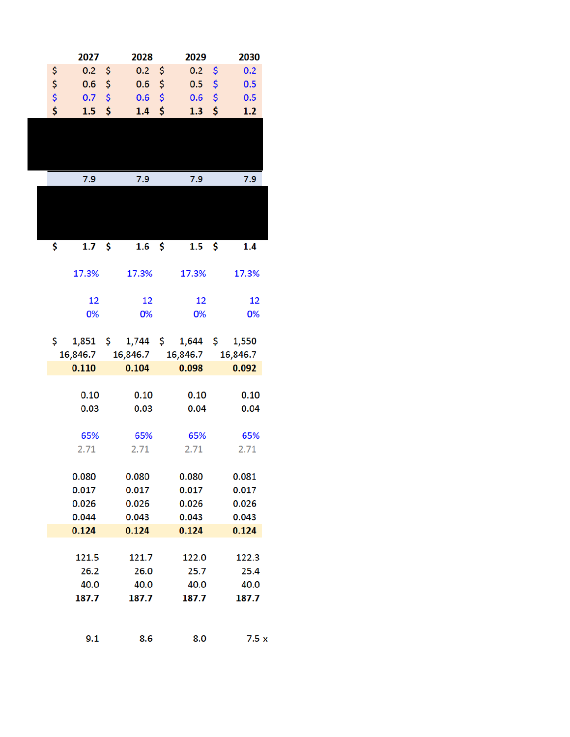|          | 2027     | 2028      |           | 2029                    | 2030      |
|----------|----------|-----------|-----------|-------------------------|-----------|
| \$       | 0.2      | \$<br>0.2 | \$        | 0.2                     | \$<br>0.2 |
| \$<br>\$ | 0.6      | \$<br>0.6 | \$        | 0.5                     | \$<br>0.5 |
|          | 0.7      | \$<br>0.6 | \$        | 0.6                     | \$<br>0.5 |
| \$       | 1.5      | \$<br>1.4 | \$        | 1.3                     | \$<br>1.2 |
|          |          |           |           |                         |           |
|          |          |           |           |                         |           |
|          |          |           |           |                         |           |
|          |          |           |           |                         |           |
|          | 7.9      | 7.9       |           | 7.9                     | 7.9       |
|          |          |           |           |                         |           |
|          |          |           |           |                         |           |
|          |          |           |           |                         |           |
| \$       | 1.7      | \$<br>1.6 | <b>\$</b> | 1.5                     | \$<br>1.4 |
|          |          |           |           |                         |           |
|          | 17.3%    | 17.3%     |           | 17.3%                   | 17.3%     |
|          |          |           |           |                         |           |
|          | 12       | 12        |           | 12                      | 12        |
|          | 0%       | 0%        |           | 0%                      | 0%        |
|          |          |           |           |                         |           |
| \$       | 1,851    | \$        |           | $1,744 \div 1,644 \div$ | 1,550     |
|          | 16,846.7 | 16,846.7  |           | 16,846.7                | 16,846.7  |
|          | 0.110    | 0.104     |           | 0.098                   | 0.092     |
|          | 0.10     | 0.10      |           | 0.10                    | 0.10      |
|          | 0.03     | 0.03      |           | 0.04                    | 0.04      |
|          |          |           |           |                         |           |
|          | 65%      | 65%       |           | 65%                     | 65%       |
|          | 2.71     | 2.71      |           | 2.71                    | 2.71      |
|          |          |           |           |                         |           |
|          | 0.080    | 0.080     |           | 0.080                   | 0.081     |
|          | 0.017    | 0.017     |           | 0.017                   | 0.017     |
|          | 0.026    | 0.026     |           | 0.026                   | 0.026     |
|          | 0.044    | 0.043     |           | 0.043                   | 0.043     |
|          | 0.124    | 0.124     |           | 0.124                   | 0.124     |
|          |          |           |           |                         |           |
|          | 121.5    | 121.7     |           | 122.0                   | 122.3     |
|          | 26.2     | 26.0      |           | 25.7                    | 25.4      |
|          | 40.0     | 40.0      |           | 40.0                    | 40.0      |
|          | 187.7    | 187.7     |           | 187.7                   | 187.7     |
|          |          |           |           |                         |           |
|          | 9.1      | 8.6       |           | 8.0                     | 7.5x      |
|          |          |           |           |                         |           |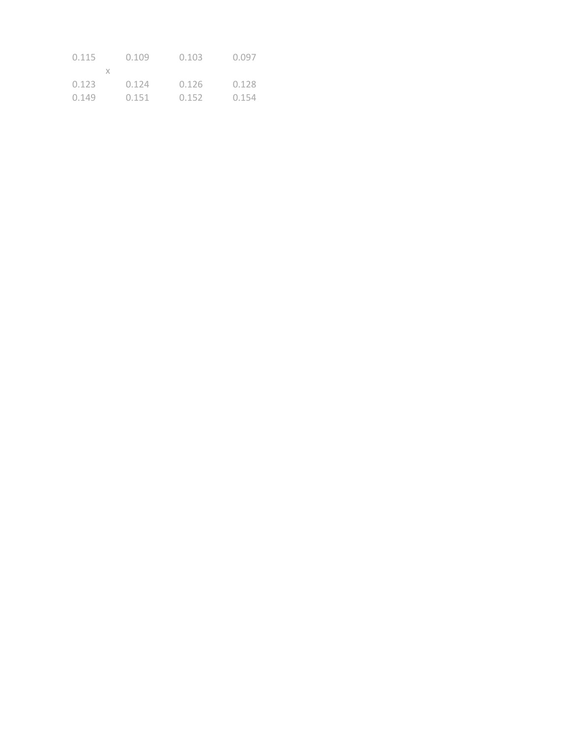| 0.115 | 0.109 | 0.103 | 0.097 |
|-------|-------|-------|-------|
|       |       |       |       |
| 0.123 | 0.124 | 0.126 | 0.128 |
| 0.149 | 0.151 | 0.152 | 0.154 |